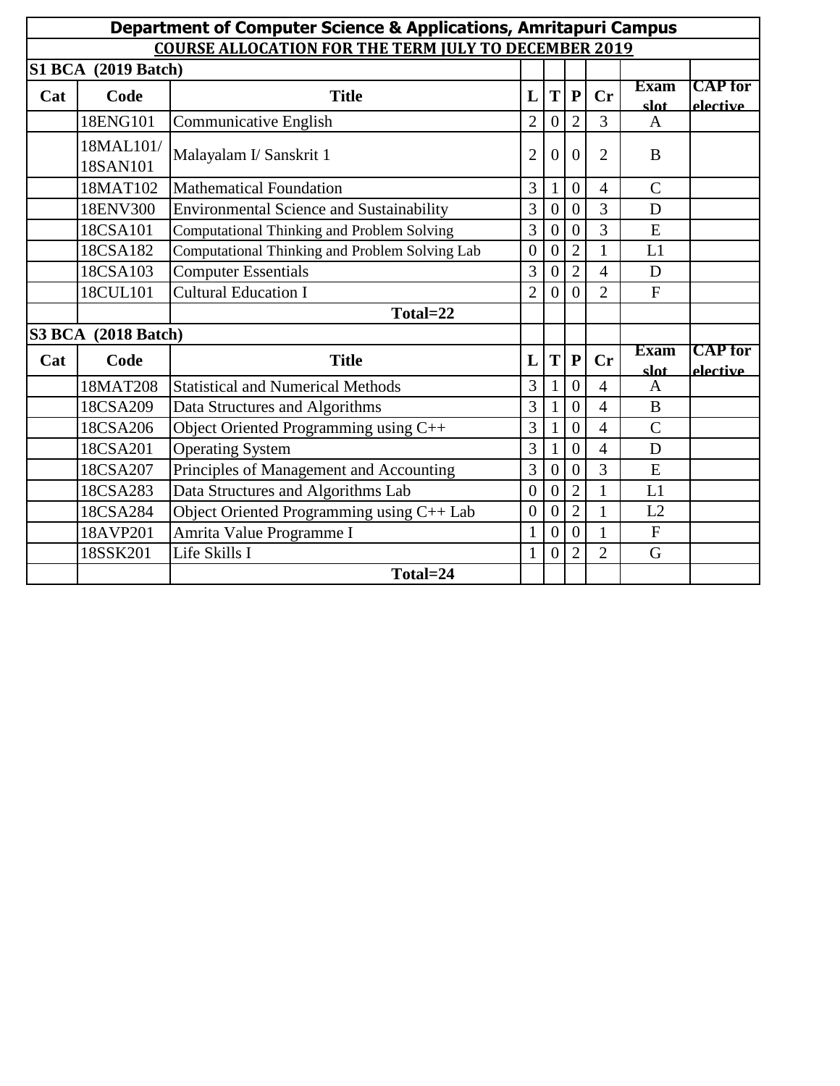| <b>Department of Computer Science &amp; Applications, Amritapuri Campus</b> |                       |                                                 |                |                  |                  |                |                     |                            |  |  |  |  |
|-----------------------------------------------------------------------------|-----------------------|-------------------------------------------------|----------------|------------------|------------------|----------------|---------------------|----------------------------|--|--|--|--|
| <b>COURSE ALLOCATION FOR THE TERM JULY TO DECEMBER 2019</b>                 |                       |                                                 |                |                  |                  |                |                     |                            |  |  |  |  |
| <b>S1 BCA</b> (2019 Batch)                                                  |                       |                                                 |                |                  |                  |                |                     |                            |  |  |  |  |
| Cat                                                                         | Code                  | <b>Title</b>                                    | L              | T                | $\mathbf{P}$     | $C_{r}$        | <b>Exam</b><br>slot | <b>CAP</b> for<br>elective |  |  |  |  |
|                                                                             | 18ENG101              | <b>Communicative English</b>                    | $\overline{2}$ | $\overline{0}$   | $\overline{2}$   | $\overline{3}$ | $\mathbf{A}$        |                            |  |  |  |  |
|                                                                             | 18MAL101/<br>18SAN101 | Malayalam I/ Sanskrit 1                         | $\overline{2}$ | $\theta$         | $\theta$         | $\overline{2}$ | B                   |                            |  |  |  |  |
|                                                                             | 18MAT102              | <b>Mathematical Foundation</b>                  | 3              | $\mathbf{1}$     | $\overline{0}$   | 4              | $\mathcal{C}$       |                            |  |  |  |  |
|                                                                             | 18ENV300              | <b>Environmental Science and Sustainability</b> | 3              | $\overline{0}$   | $\overline{0}$   | $\overline{3}$ | D                   |                            |  |  |  |  |
|                                                                             | 18CSA101              | Computational Thinking and Problem Solving      | 3              | $\boldsymbol{0}$ | $\overline{0}$   | 3              | E                   |                            |  |  |  |  |
|                                                                             | 18CSA182              | Computational Thinking and Problem Solving Lab  | $\overline{0}$ | $\theta$         | $\overline{2}$   | $\mathbf{1}$   | L1                  |                            |  |  |  |  |
|                                                                             | 18CSA103              | <b>Computer Essentials</b>                      | 3              | $\overline{0}$   | $\overline{2}$   | 4              | D                   |                            |  |  |  |  |
|                                                                             | 18CUL101              | <b>Cultural Education I</b>                     | $\overline{2}$ | $\overline{0}$   | $\boldsymbol{0}$ | $\overline{2}$ | F                   |                            |  |  |  |  |
|                                                                             |                       | Total=22                                        |                |                  |                  |                |                     |                            |  |  |  |  |
| <b>S3 BCA</b> (2018 Batch)                                                  |                       |                                                 |                |                  |                  |                |                     |                            |  |  |  |  |
| Cat                                                                         | Code                  | <b>Title</b>                                    | L              | T                | ${\bf P}$        | $C_{r}$        | <b>Exam</b><br>slat | <b>CAP</b> for<br>elective |  |  |  |  |
|                                                                             | 18MAT208              | <b>Statistical and Numerical Methods</b>        | 3              | $\mathbf{1}$     | $\overline{0}$   | $\overline{4}$ | $\mathbf{A}$        |                            |  |  |  |  |
|                                                                             | 18CSA209              | Data Structures and Algorithms                  | 3              |                  | $\overline{0}$   | $\overline{4}$ | $\bf{B}$            |                            |  |  |  |  |
|                                                                             | 18CSA206              | Object Oriented Programming using C++           | 3              | $\mathbf{1}$     | $\overline{0}$   | $\overline{4}$ | $\overline{C}$      |                            |  |  |  |  |
|                                                                             | 18CSA201              | <b>Operating System</b>                         | 3              | $\mathbf{1}$     | $\overline{0}$   | $\overline{4}$ | D                   |                            |  |  |  |  |
|                                                                             | 18CSA207              | Principles of Management and Accounting         | 3              | $\overline{0}$   | $\boldsymbol{0}$ | 3              | E                   |                            |  |  |  |  |
|                                                                             | 18CSA283              | Data Structures and Algorithms Lab              | $\overline{0}$ | $\overline{0}$   | $\overline{2}$   | $\mathbf{1}$   | L1                  |                            |  |  |  |  |
|                                                                             | 18CSA284              | Object Oriented Programming using C++ Lab       | $\overline{0}$ | $\overline{0}$   | $\overline{2}$   | 1              | L2                  |                            |  |  |  |  |
|                                                                             | 18AVP201              | Amrita Value Programme I                        | 1              | $\theta$         | $\theta$         | 1              | F                   |                            |  |  |  |  |
|                                                                             | 18SSK201              | Life Skills I                                   | $\mathbf{1}$   | $\overline{0}$   | $\overline{2}$   | $\overline{2}$ | G                   |                            |  |  |  |  |
|                                                                             |                       | Total=24                                        |                |                  |                  |                |                     |                            |  |  |  |  |